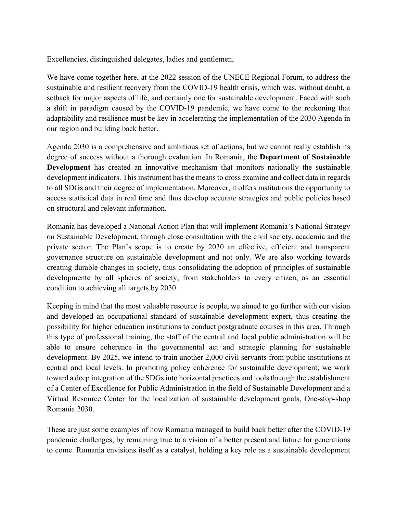Excellencies, distinguished delegates, ladies and gentlemen,

We have come together here, at the 2022 session of the UNECE Regional Forum, to address the sustainable and resilient recovery from the COVID-19 health crisis, which was, without doubt, a setback for major aspects of life, and certainly one for sustainable development. Faced with such a shift in paradigm caused by the COVID-19 pandemic, we have come to the reckoning that adaptability and resilience must be key in accelerating the implementation of the 2030 Agenda in our region and building back better.

Agenda 2030 is a comprehensive and ambitious set of actions, but we cannot really establish its degree of success without a thorough evaluation. In Romania, the **Department of Sustainable Development** has created an innovative mechanism that monitors nationally the sustainable development indicators. This instrument has the means to cross examine and collect data in regards to all SDGs and their degree of implementation. Moreover, it offers institutions the opportunity to access statistical data in real time and thus develop accurate strategies and public policies based on structural and relevant information.

Romania has developed a National Action Plan that will implement Romania's National Strategy on Sustainable Development, through close consultation with the civil society, academia and the private sector. The Plan's scope is to create by 2030 an effective, efficient and transparent governance structure on sustainable development and not only. We are also working towards creating durable changes in society, thus consolidating the adoption of principles of sustainable developmente by all spheres of society, from stakeholders to every citizen, as an essential condition to achieving all targets by 2030.

Keeping in mind that the most valuable resource is people, we aimed to go further with our vision and developed an occupational standard of sustainable development expert, thus creating the possibility for higher education institutions to conduct postgraduate courses in this area. Through this type of professional training, the staff of the central and local public administration will be able to ensure coherence in the governmental act and strategic planning for sustainable development. By 2025, we intend to train another 2,000 civil servants from public institutions at central and local levels. In promoting policy coherence for sustainable development, we work toward a deep integration of the SDGs into horizontal practices and tools through the establishment of a Center of Excellence for Public Administration in the field of Sustainable Development and a Virtual Resource Center for the localization of sustainable development goals, One-stop-shop Romania 2030.

These are just some examples of how Romania managed to build back better after the COVID-19 pandemic challenges, by remaining true to a vision of a better present and future for generations to come. Romania envisions itself as a catalyst, holding a key role as a sustainable development